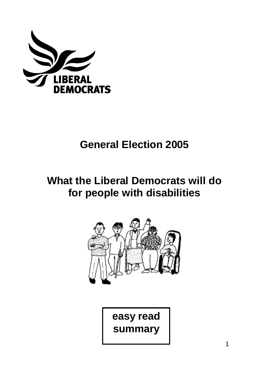

# **General Election 2005**

# **What the Liberal Democrats will do for people with disabilities**



**easy read summary**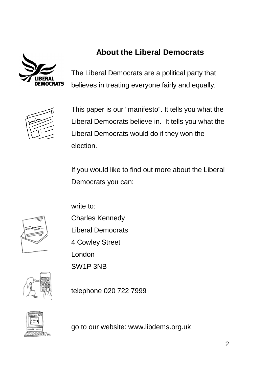

## **About the Liberal Democrats**

The Liberal Democrats are a political party that believes in treating everyone fairly and equally.



This paper is our "manifesto". It tells you what the Liberal Democrats believe in. It tells you what the Liberal Democrats would do if they won the election.

If you would like to find out more about the Liberal Democrats you can:



write to:

- Charles Kennedy
- Liberal Democrats
- 4 Cowley Street

London

SW1P 3NB

telephone 020 722 7999



go to our website: www.libdems.org.uk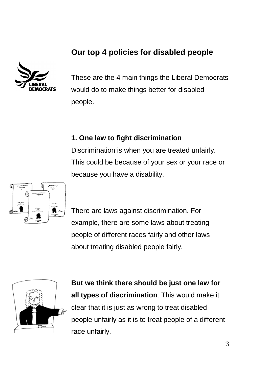### **Our top 4 policies for disabled people**



These are the 4 main things the Liberal Democrats would do to make things better for disabled people.

#### **1. One law to fight discrimination**

Discrimination is when you are treated unfairly. This could be because of your sex or your race or because you have a disability.



There are laws against discrimination. For example, there are some laws about treating people of different races fairly and other laws about treating disabled people fairly.



**But we think there should be just one law for all types of discrimination**. This would make it clear that it is just as wrong to treat disabled people unfairly as it is to treat people of a different race unfairly.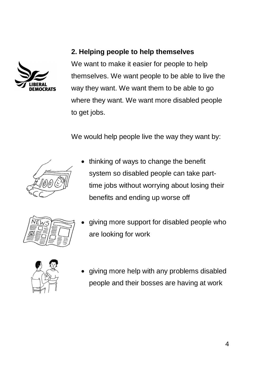

### **2. Helping people to help themselves**

We want to make it easier for people to help themselves. We want people to be able to live the way they want. We want them to be able to go where they want. We want more disabled people to get jobs.

We would help people live the way they want by:



• thinking of ways to change the benefit system so disabled people can take parttime jobs without worrying about losing their benefits and ending up worse off



• giving more support for disabled people who are looking for work



• giving more help with any problems disabled people and their bosses are having at work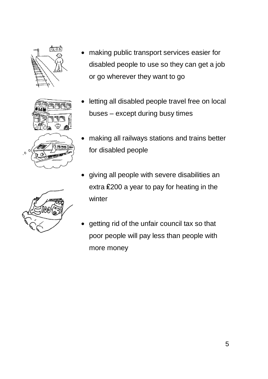







- letting all disabled people travel free on local buses – except during busy times
- making all railways stations and trains better for disabled people
- giving all people with severe disabilities an extra ₤200 a year to pay for heating in the winter
- getting rid of the unfair council tax so that poor people will pay less than people with more money

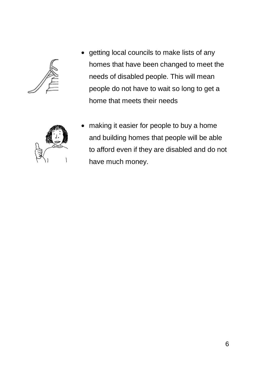

• getting local councils to make lists of any homes that have been changed to meet the needs of disabled people. This will mean people do not have to wait so long to get a home that meets their needs



• making it easier for people to buy a home and building homes that people will be able to afford even if they are disabled and do not have much money.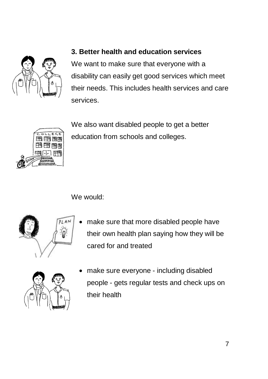

#### **3. Better health and education services**

We want to make sure that everyone with a disability can easily get good services which meet their needs. This includes health services and care services.

ਵਟ

We also want disabled people to get a better education from schools and colleges.

We would:

![](_page_6_Picture_6.jpeg)

make sure that more disabled people have their own health plan saying how they will be cared for and treated

![](_page_6_Picture_8.jpeg)

• make sure everyone - including disabled people - gets regular tests and check ups on their health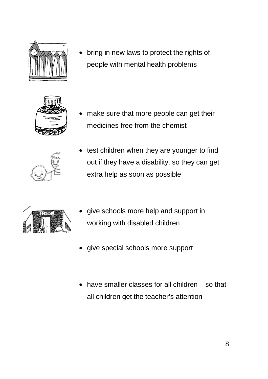![](_page_7_Picture_0.jpeg)

• bring in new laws to protect the rights of people with mental health problems

![](_page_7_Picture_2.jpeg)

• make sure that more people can get their medicines free from the chemist

![](_page_7_Picture_4.jpeg)

test children when they are younger to find out if they have a disability, so they can get extra help as soon as possible

![](_page_7_Picture_6.jpeg)

- give schools more help and support in working with disabled children
- give special schools more support
- have smaller classes for all children so that all children get the teacher's attention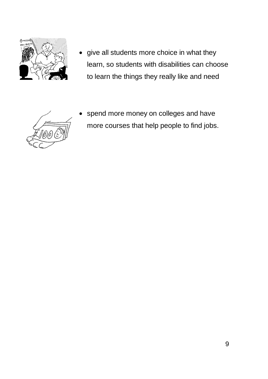![](_page_8_Picture_0.jpeg)

• give all students more choice in what they learn, so students with disabilities can choose to learn the things they really like and need

![](_page_8_Picture_2.jpeg)

spend more money on colleges and have more courses that help people to find jobs.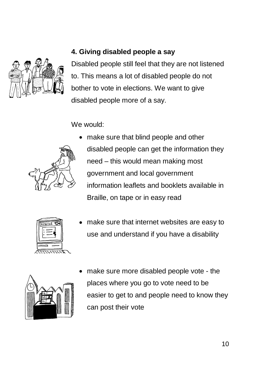![](_page_9_Picture_0.jpeg)

#### **4. Giving disabled people a say**

Disabled people still feel that they are not listened to. This means a lot of disabled people do not bother to vote in elections. We want to give disabled people more of a say.

We would:

![](_page_9_Picture_4.jpeg)

make sure that blind people and other disabled people can get the information they need – this would mean making most government and local government information leaflets and booklets available in Braille, on tape or in easy read

| nternet |  |
|---------|--|
|         |  |
|         |  |
|         |  |
|         |  |
|         |  |
|         |  |
|         |  |

make sure that internet websites are easy to use and understand if you have a disability

![](_page_9_Picture_8.jpeg)

• make sure more disabled people vote - the places where you go to vote need to be easier to get to and people need to know they can post their vote